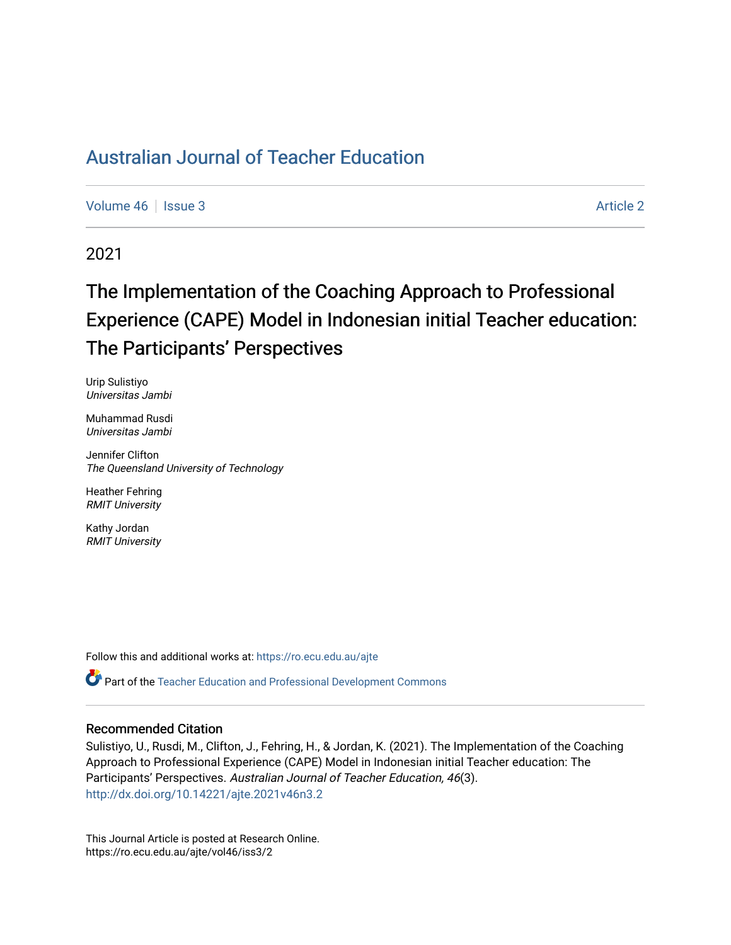[Volume 46](https://ro.ecu.edu.au/ajte/vol46) | [Issue 3](https://ro.ecu.edu.au/ajte/vol46/iss3) Article 2

2021

# The Implementation of the Coaching Approach to Professional Experience (CAPE) Model in Indonesian initial Teacher education: The Participants' Perspectives

Urip Sulistiyo Universitas Jambi

Muhammad Rusdi Universitas Jambi

Jennifer Clifton The Queensland University of Technology

Heather Fehring RMIT University

Kathy Jordan RMIT University

Follow this and additional works at: [https://ro.ecu.edu.au/ajte](https://ro.ecu.edu.au/ajte?utm_source=ro.ecu.edu.au%2Fajte%2Fvol46%2Fiss3%2F2&utm_medium=PDF&utm_campaign=PDFCoverPages) 

Part of the [Teacher Education and Professional Development Commons](http://network.bepress.com/hgg/discipline/803?utm_source=ro.ecu.edu.au%2Fajte%2Fvol46%2Fiss3%2F2&utm_medium=PDF&utm_campaign=PDFCoverPages)

#### Recommended Citation

Sulistiyo, U., Rusdi, M., Clifton, J., Fehring, H., & Jordan, K. (2021). The Implementation of the Coaching Approach to Professional Experience (CAPE) Model in Indonesian initial Teacher education: The Participants' Perspectives. Australian Journal of Teacher Education, 46(3). <http://dx.doi.org/10.14221/ajte.2021v46n3.2>

This Journal Article is posted at Research Online. https://ro.ecu.edu.au/ajte/vol46/iss3/2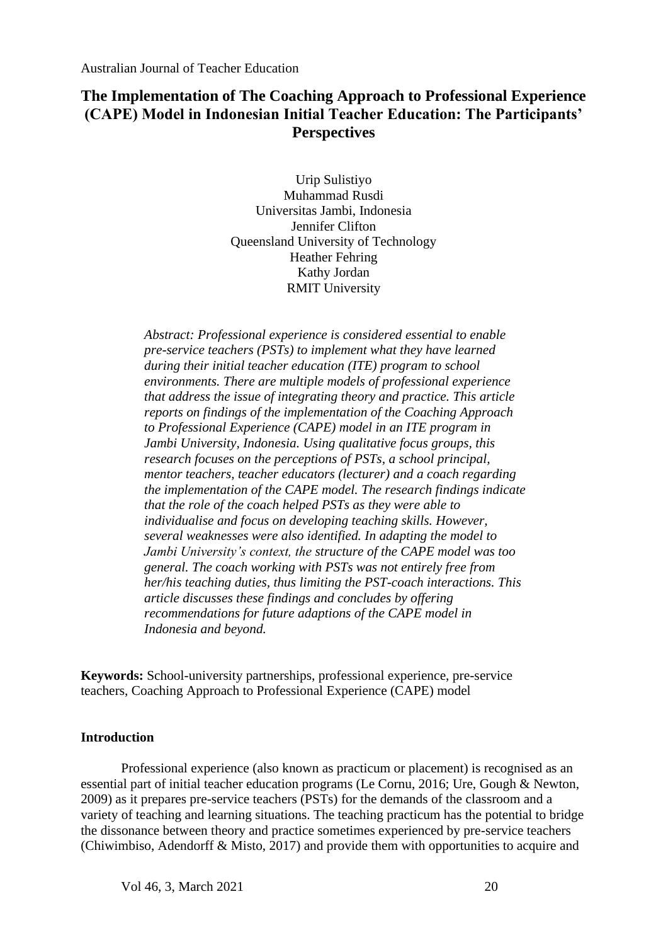## **The Implementation of The Coaching Approach to Professional Experience (CAPE) Model in Indonesian Initial Teacher Education: The Participants' Perspectives**

Urip Sulistiyo Muhammad Rusdi Universitas Jambi, Indonesia Jennifer Clifton Queensland University of Technology Heather Fehring Kathy Jordan RMIT University

*Abstract: Professional experience is considered essential to enable pre-service teachers (PSTs) to implement what they have learned during their initial teacher education (ITE) program to school environments. There are multiple models of professional experience that address the issue of integrating theory and practice. This article reports on findings of the implementation of the Coaching Approach to Professional Experience (CAPE) model in an ITE program in Jambi University, Indonesia. Using qualitative focus groups, this research focuses on the perceptions of PSTs, a school principal, mentor teachers, teacher educators (lecturer) and a coach regarding the implementation of the CAPE model. The research findings indicate that the role of the coach helped PSTs as they were able to individualise and focus on developing teaching skills. However, several weaknesses were also identified. In adapting the model to Jambi University's context, the structure of the CAPE model was too general. The coach working with PSTs was not entirely free from her/his teaching duties, thus limiting the PST-coach interactions. This article discusses these findings and concludes by offering recommendations for future adaptions of the CAPE model in Indonesia and beyond.*

**Keywords:** School-university partnerships, professional experience, pre-service teachers, Coaching Approach to Professional Experience (CAPE) model

#### **Introduction**

Professional experience (also known as practicum or placement) is recognised as an essential part of initial teacher education programs (Le Cornu, 2016; Ure, Gough & Newton, 2009) as it prepares pre-service teachers (PSTs) for the demands of the classroom and a variety of teaching and learning situations. The teaching practicum has the potential to bridge the dissonance between theory and practice sometimes experienced by pre-service teachers (Chiwimbiso, Adendorff & Misto, 2017) and provide them with opportunities to acquire and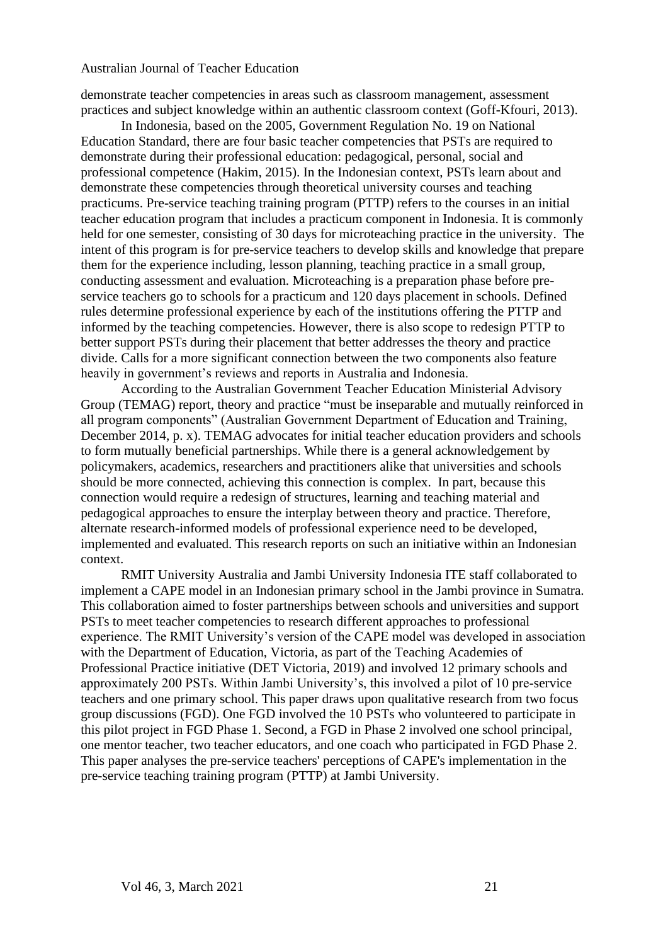demonstrate teacher competencies in areas such as classroom management, assessment practices and subject knowledge within an authentic classroom context (Goff-Kfouri, 2013).

In Indonesia, based on the 2005, Government Regulation No. 19 on National Education Standard, there are four basic teacher competencies that PSTs are required to demonstrate during their professional education: pedagogical, personal, social and professional competence (Hakim, 2015). In the Indonesian context, PSTs learn about and demonstrate these competencies through theoretical university courses and teaching practicums. Pre-service teaching training program (PTTP) refers to the courses in an initial teacher education program that includes a practicum component in Indonesia. It is commonly held for one semester, consisting of 30 days for microteaching practice in the university. The intent of this program is for pre-service teachers to develop skills and knowledge that prepare them for the experience including, lesson planning, teaching practice in a small group, conducting assessment and evaluation. Microteaching is a preparation phase before preservice teachers go to schools for a practicum and 120 days placement in schools. Defined rules determine professional experience by each of the institutions offering the PTTP and informed by the teaching competencies. However, there is also scope to redesign PTTP to better support PSTs during their placement that better addresses the theory and practice divide. Calls for a more significant connection between the two components also feature heavily in government's reviews and reports in Australia and Indonesia.

According to the Australian Government Teacher Education Ministerial Advisory Group (TEMAG) report, theory and practice "must be inseparable and mutually reinforced in all program components" (Australian Government Department of Education and Training, December 2014, p. x). TEMAG advocates for initial teacher education providers and schools to form mutually beneficial partnerships. While there is a general acknowledgement by policymakers, academics, researchers and practitioners alike that universities and schools should be more connected, achieving this connection is complex. In part, because this connection would require a redesign of structures, learning and teaching material and pedagogical approaches to ensure the interplay between theory and practice. Therefore, alternate research-informed models of professional experience need to be developed, implemented and evaluated. This research reports on such an initiative within an Indonesian context.

RMIT University Australia and Jambi University Indonesia ITE staff collaborated to implement a CAPE model in an Indonesian primary school in the Jambi province in Sumatra. This collaboration aimed to foster partnerships between schools and universities and support PSTs to meet teacher competencies to research different approaches to professional experience. The RMIT University's version of the CAPE model was developed in association with the Department of Education, Victoria, as part of the Teaching Academies of Professional Practice initiative (DET Victoria, 2019) and involved 12 primary schools and approximately 200 PSTs. Within Jambi University's, this involved a pilot of 10 pre-service teachers and one primary school. This paper draws upon qualitative research from two focus group discussions (FGD). One FGD involved the 10 PSTs who volunteered to participate in this pilot project in FGD Phase 1. Second, a FGD in Phase 2 involved one school principal, one mentor teacher, two teacher educators, and one coach who participated in FGD Phase 2. This paper analyses the pre-service teachers' perceptions of CAPE's implementation in the pre-service teaching training program (PTTP) at Jambi University.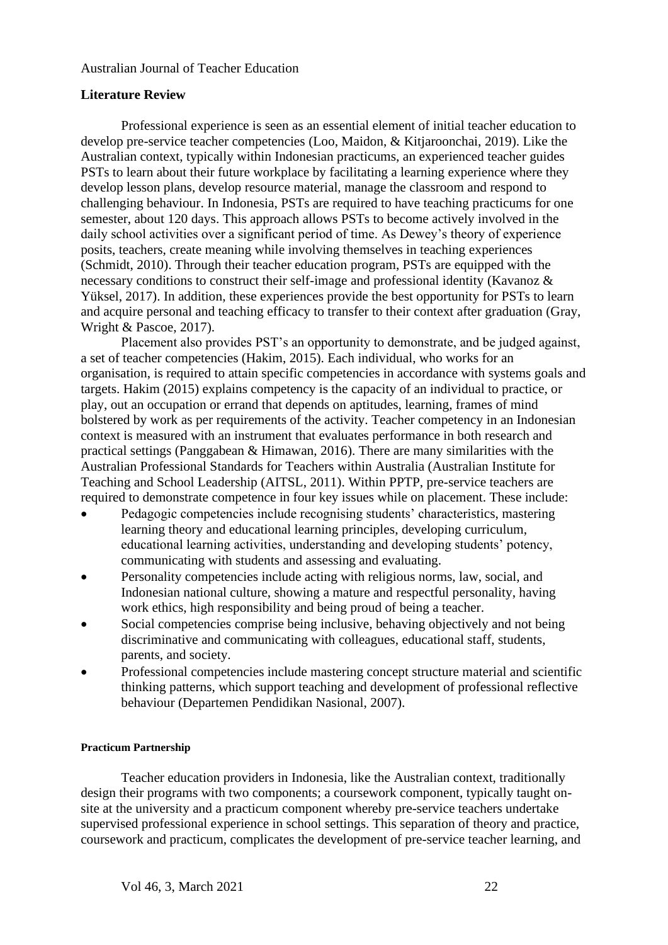## **Literature Review**

Professional experience is seen as an essential element of initial teacher education to develop pre-service teacher competencies (Loo, Maidon, & Kitjaroonchai, 2019). Like the Australian context, typically within Indonesian practicums, an experienced teacher guides PSTs to learn about their future workplace by facilitating a learning experience where they develop lesson plans, develop resource material, manage the classroom and respond to challenging behaviour. In Indonesia, PSTs are required to have teaching practicums for one semester, about 120 days. This approach allows PSTs to become actively involved in the daily school activities over a significant period of time. As Dewey's theory of experience posits, teachers, create meaning while involving themselves in teaching experiences (Schmidt, 2010). Through their teacher education program, PSTs are equipped with the necessary conditions to construct their self-image and professional identity (Kavanoz & Yüksel, 2017). In addition, these experiences provide the best opportunity for PSTs to learn and acquire personal and teaching efficacy to transfer to their context after graduation (Gray, Wright & Pascoe, 2017).

Placement also provides PST's an opportunity to demonstrate, and be judged against, a set of teacher competencies (Hakim, 2015). Each individual, who works for an organisation, is required to attain specific competencies in accordance with systems goals and targets. Hakim (2015) explains competency is the capacity of an individual to practice, or play, out an occupation or errand that depends on aptitudes, learning, frames of mind bolstered by work as per requirements of the activity. Teacher competency in an Indonesian context is measured with an instrument that evaluates performance in both research and practical settings (Panggabean & Himawan, 2016). There are many similarities with the Australian Professional Standards for Teachers within Australia (Australian Institute for Teaching and School Leadership (AITSL, 2011). Within PPTP, pre-service teachers are required to demonstrate competence in four key issues while on placement. These include:

- Pedagogic competencies include recognising students' characteristics, mastering learning theory and educational learning principles, developing curriculum, educational learning activities, understanding and developing students' potency, communicating with students and assessing and evaluating.
- Personality competencies include acting with religious norms, law, social, and Indonesian national culture, showing a mature and respectful personality, having work ethics, high responsibility and being proud of being a teacher.
- Social competencies comprise being inclusive, behaving objectively and not being discriminative and communicating with colleagues, educational staff, students, parents, and society.
- Professional competencies include mastering concept structure material and scientific thinking patterns, which support teaching and development of professional reflective behaviour (Departemen Pendidikan Nasional, 2007).

#### **Practicum Partnership**

Teacher education providers in Indonesia, like the Australian context, traditionally design their programs with two components; a coursework component, typically taught onsite at the university and a practicum component whereby pre-service teachers undertake supervised professional experience in school settings. This separation of theory and practice, coursework and practicum, complicates the development of pre-service teacher learning, and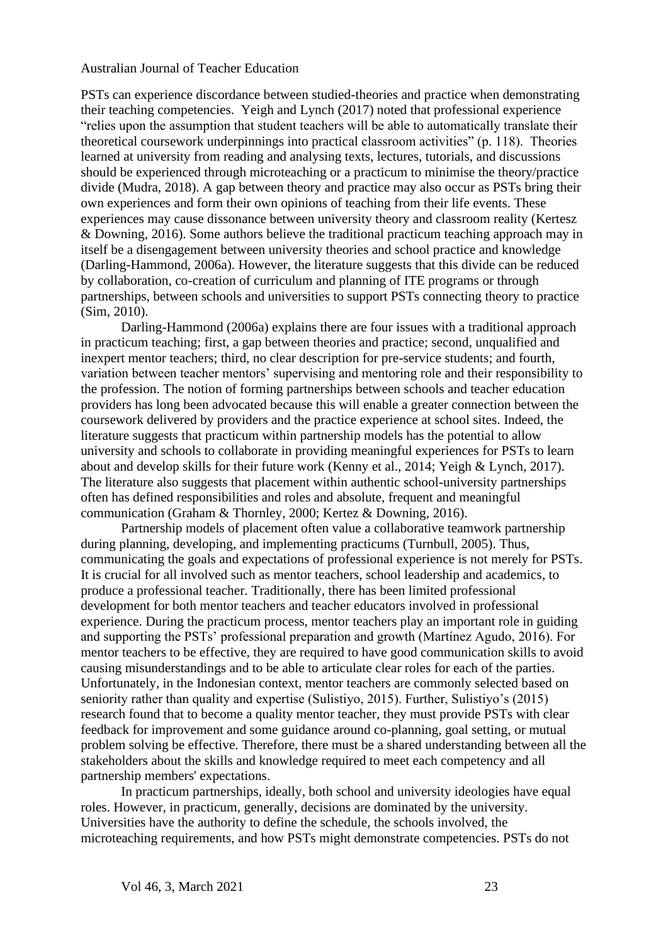PSTs can experience discordance between studied-theories and practice when demonstrating their teaching competencies. Yeigh and Lynch (2017) noted that professional experience "relies upon the assumption that student teachers will be able to automatically translate their theoretical coursework underpinnings into practical classroom activities" (p. 118). Theories learned at university from reading and analysing texts, lectures, tutorials, and discussions should be experienced through microteaching or a practicum to minimise the theory/practice divide (Mudra, 2018). A gap between theory and practice may also occur as PSTs bring their own experiences and form their own opinions of teaching from their life events. These experiences may cause dissonance between university theory and classroom reality (Kertesz & Downing, 2016). Some authors believe the traditional practicum teaching approach may in itself be a disengagement between university theories and school practice and knowledge (Darling-Hammond, 2006a). However, the literature suggests that this divide can be reduced by collaboration, co-creation of curriculum and planning of ITE programs or through partnerships, between schools and universities to support PSTs connecting theory to practice (Sim, 2010).

Darling-Hammond (2006a) explains there are four issues with a traditional approach in practicum teaching; first, a gap between theories and practice; second, unqualified and inexpert mentor teachers; third, no clear description for pre-service students; and fourth, variation between teacher mentors' supervising and mentoring role and their responsibility to the profession. The notion of forming partnerships between schools and teacher education providers has long been advocated because this will enable a greater connection between the coursework delivered by providers and the practice experience at school sites. Indeed, the literature suggests that practicum within partnership models has the potential to allow university and schools to collaborate in providing meaningful experiences for PSTs to learn about and develop skills for their future work (Kenny et al., 2014; Yeigh & Lynch, 2017). The literature also suggests that placement within authentic school-university partnerships often has defined responsibilities and roles and absolute, frequent and meaningful communication (Graham & Thornley, 2000; Kertez & Downing, 2016).

Partnership models of placement often value a collaborative teamwork partnership during planning, developing, and implementing practicums (Turnbull, 2005). Thus, communicating the goals and expectations of professional experience is not merely for PSTs. It is crucial for all involved such as mentor teachers, school leadership and academics, to produce a professional teacher. Traditionally, there has been limited professional development for both mentor teachers and teacher educators involved in professional experience. During the practicum process, mentor teachers play an important role in guiding and supporting the PSTs' professional preparation and growth (Martínez Agudo, 2016). For mentor teachers to be effective, they are required to have good communication skills to avoid causing misunderstandings and to be able to articulate clear roles for each of the parties. Unfortunately, in the Indonesian context, mentor teachers are commonly selected based on seniority rather than quality and expertise (Sulistiyo, 2015). Further, Sulistiyo's (2015) research found that to become a quality mentor teacher, they must provide PSTs with clear feedback for improvement and some guidance around co-planning, goal setting, or mutual problem solving be effective. Therefore, there must be a shared understanding between all the stakeholders about the skills and knowledge required to meet each competency and all partnership members' expectations.

In practicum partnerships, ideally, both school and university ideologies have equal roles. However, in practicum, generally, decisions are dominated by the university. Universities have the authority to define the schedule, the schools involved, the microteaching requirements, and how PSTs might demonstrate competencies. PSTs do not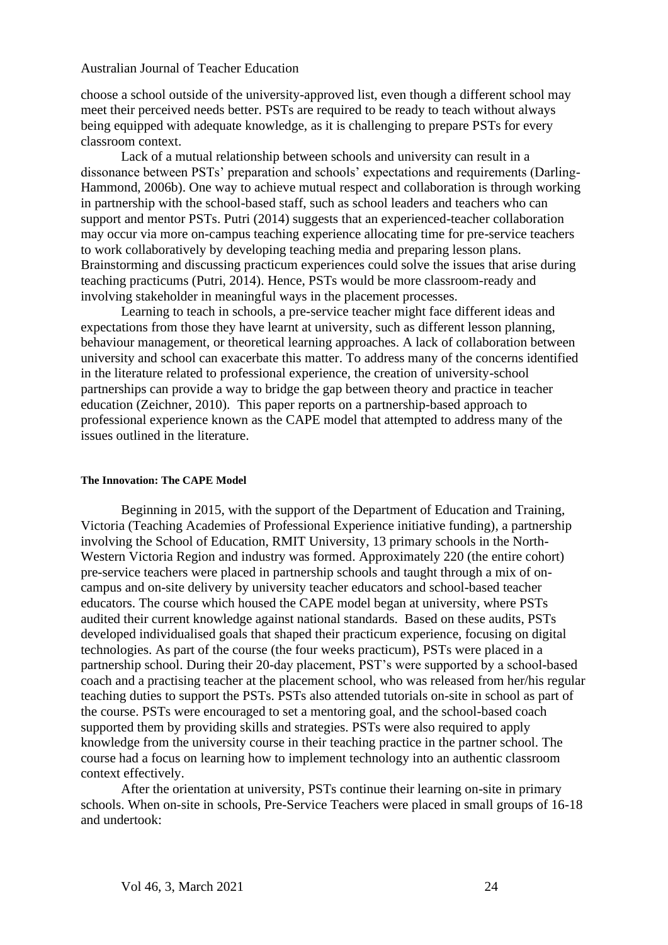choose a school outside of the university-approved list, even though a different school may meet their perceived needs better. PSTs are required to be ready to teach without always being equipped with adequate knowledge, as it is challenging to prepare PSTs for every classroom context.

Lack of a mutual relationship between schools and university can result in a dissonance between PSTs' preparation and schools' expectations and requirements (Darling-Hammond, 2006b). One way to achieve mutual respect and collaboration is through working in partnership with the school-based staff, such as school leaders and teachers who can support and mentor PSTs. Putri (2014) suggests that an experienced-teacher collaboration may occur via more on-campus teaching experience allocating time for pre-service teachers to work collaboratively by developing teaching media and preparing lesson plans. Brainstorming and discussing practicum experiences could solve the issues that arise during teaching practicums (Putri, 2014). Hence, PSTs would be more classroom-ready and involving stakeholder in meaningful ways in the placement processes.

Learning to teach in schools, a pre-service teacher might face different ideas and expectations from those they have learnt at university, such as different lesson planning, behaviour management, or theoretical learning approaches. A lack of collaboration between university and school can exacerbate this matter. To address many of the concerns identified in the literature related to professional experience, the creation of university-school partnerships can provide a way to bridge the gap between theory and practice in teacher education (Zeichner, 2010). This paper reports on a partnership-based approach to professional experience known as the CAPE model that attempted to address many of the issues outlined in the literature.

#### **The Innovation: The CAPE Model**

Beginning in 2015, with the support of the Department of Education and Training, Victoria (Teaching Academies of Professional Experience initiative funding), a partnership involving the School of Education, RMIT University, 13 primary schools in the North-Western Victoria Region and industry was formed. Approximately 220 (the entire cohort) pre-service teachers were placed in partnership schools and taught through a mix of oncampus and on-site delivery by university teacher educators and school-based teacher educators. The course which housed the CAPE model began at university, where PSTs audited their current knowledge against national standards. Based on these audits, PSTs developed individualised goals that shaped their practicum experience, focusing on digital technologies. As part of the course (the four weeks practicum), PSTs were placed in a partnership school. During their 20-day placement, PST's were supported by a school-based coach and a practising teacher at the placement school, who was released from her/his regular teaching duties to support the PSTs. PSTs also attended tutorials on-site in school as part of the course. PSTs were encouraged to set a mentoring goal, and the school-based coach supported them by providing skills and strategies. PSTs were also required to apply knowledge from the university course in their teaching practice in the partner school. The course had a focus on learning how to implement technology into an authentic classroom context effectively.

After the orientation at university, PSTs continue their learning on-site in primary schools. When on-site in schools, Pre-Service Teachers were placed in small groups of 16-18 and undertook: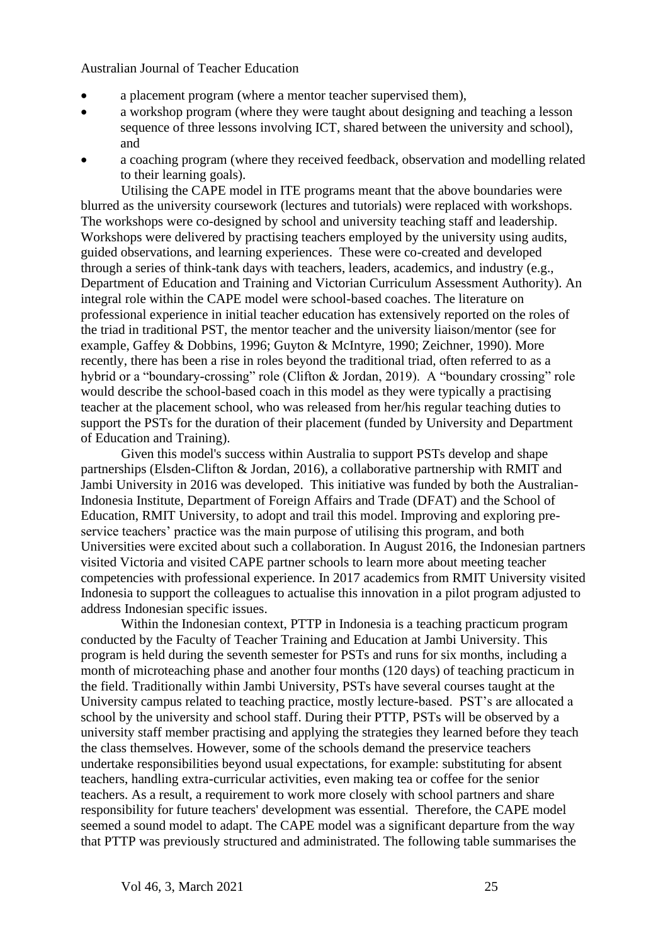- a placement program (where a mentor teacher supervised them),
- a workshop program (where they were taught about designing and teaching a lesson sequence of three lessons involving ICT, shared between the university and school), and
- a coaching program (where they received feedback, observation and modelling related to their learning goals).

Utilising the CAPE model in ITE programs meant that the above boundaries were blurred as the university coursework (lectures and tutorials) were replaced with workshops. The workshops were co-designed by school and university teaching staff and leadership. Workshops were delivered by practising teachers employed by the university using audits, guided observations, and learning experiences. These were co-created and developed through a series of think-tank days with teachers, leaders, academics, and industry (e.g., Department of Education and Training and Victorian Curriculum Assessment Authority). An integral role within the CAPE model were school-based coaches. The literature on professional experience in initial teacher education has extensively reported on the roles of the triad in traditional PST, the mentor teacher and the university liaison/mentor (see for example, Gaffey & Dobbins, 1996; Guyton & McIntyre, 1990; Zeichner, 1990). More recently, there has been a rise in roles beyond the traditional triad, often referred to as a hybrid or a "boundary-crossing" role (Clifton & Jordan, 2019). A "boundary crossing" role would describe the school-based coach in this model as they were typically a practising teacher at the placement school, who was released from her/his regular teaching duties to support the PSTs for the duration of their placement (funded by University and Department of Education and Training).

Given this model's success within Australia to support PSTs develop and shape partnerships (Elsden-Clifton & Jordan, 2016), a collaborative partnership with RMIT and Jambi University in 2016 was developed. This initiative was funded by both the Australian-Indonesia Institute, Department of Foreign Affairs and Trade (DFAT) and the School of Education, RMIT University, to adopt and trail this model. Improving and exploring preservice teachers' practice was the main purpose of utilising this program, and both Universities were excited about such a collaboration. In August 2016, the Indonesian partners visited Victoria and visited CAPE partner schools to learn more about meeting teacher competencies with professional experience. In 2017 academics from RMIT University visited Indonesia to support the colleagues to actualise this innovation in a pilot program adjusted to address Indonesian specific issues.

Within the Indonesian context, PTTP in Indonesia is a teaching practicum program conducted by the Faculty of Teacher Training and Education at Jambi University. This program is held during the seventh semester for PSTs and runs for six months, including a month of microteaching phase and another four months (120 days) of teaching practicum in the field. Traditionally within Jambi University, PSTs have several courses taught at the University campus related to teaching practice, mostly lecture-based. PST's are allocated a school by the university and school staff. During their PTTP, PSTs will be observed by a university staff member practising and applying the strategies they learned before they teach the class themselves. However, some of the schools demand the preservice teachers undertake responsibilities beyond usual expectations, for example: substituting for absent teachers, handling extra-curricular activities, even making tea or coffee for the senior teachers. As a result, a requirement to work more closely with school partners and share responsibility for future teachers' development was essential. Therefore, the CAPE model seemed a sound model to adapt. The CAPE model was a significant departure from the way that PTTP was previously structured and administrated. The following table summarises the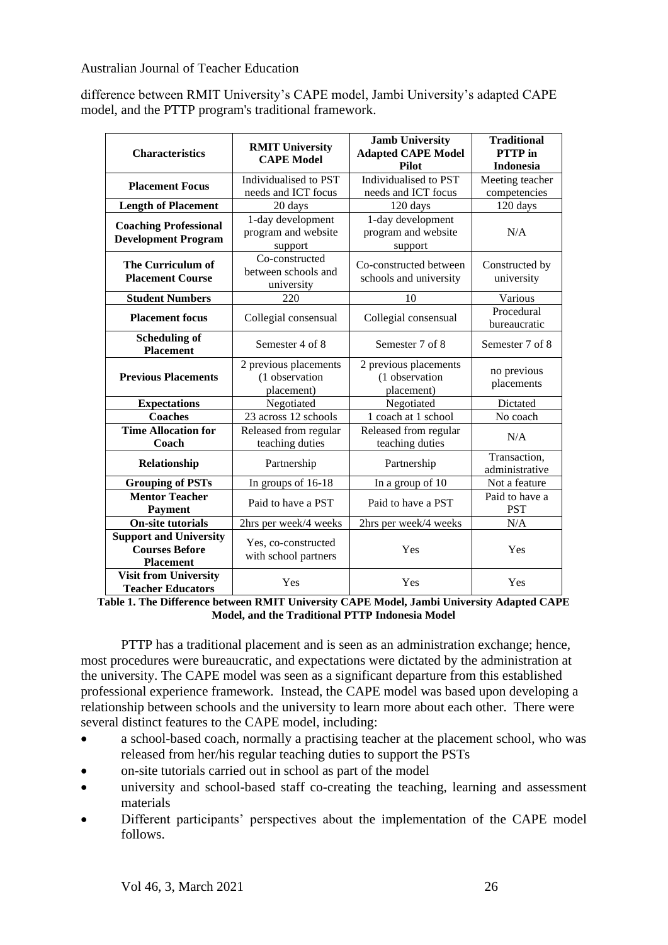difference between RMIT University's CAPE model, Jambi University's adapted CAPE model, and the PTTP program's traditional framework.

| <b>Characteristics</b>                                                     | <b>Jamb University</b><br><b>RMIT University</b><br><b>Adapted CAPE Model</b><br><b>CAPE Model</b><br>Pilot |                                                       | <b>Traditional</b><br><b>PTTP</b> in<br><b>Indonesia</b> |
|----------------------------------------------------------------------------|-------------------------------------------------------------------------------------------------------------|-------------------------------------------------------|----------------------------------------------------------|
| <b>Placement Focus</b>                                                     | Individualised to PST<br>Individualised to PST<br>needs and ICT focus<br>needs and ICT focus                |                                                       | Meeting teacher<br>competencies                          |
| <b>Length of Placement</b>                                                 | 20 days                                                                                                     | 120 days                                              | 120 days                                                 |
| <b>Coaching Professional</b><br><b>Development Program</b>                 | 1-day development<br>1-day development<br>program and website<br>program and website<br>support<br>support  |                                                       | N/A                                                      |
| The Curriculum of<br><b>Placement Course</b>                               | Co-constructed<br>Co-constructed between<br>between schools and<br>schools and university<br>university     |                                                       | Constructed by<br>university                             |
| <b>Student Numbers</b>                                                     | 220                                                                                                         | 10                                                    | Various                                                  |
| <b>Placement focus</b>                                                     | Collegial consensual<br>Collegial consensual                                                                |                                                       | Procedural<br>bureaucratic                               |
| <b>Scheduling of</b><br><b>Placement</b>                                   | Semester 4 of 8<br>Semester 7 of 8                                                                          |                                                       | Semester 7 of 8                                          |
| <b>Previous Placements</b>                                                 | 2 previous placements<br>(1 observation<br>placement)                                                       | 2 previous placements<br>(1 observation<br>placement) | no previous<br>placements                                |
| <b>Expectations</b>                                                        | Negotiated                                                                                                  | Negotiated                                            |                                                          |
| <b>Coaches</b>                                                             | 23 across 12 schools                                                                                        | 1 coach at 1 school                                   | No coach                                                 |
| <b>Time Allocation for</b><br>Coach                                        | Released from regular<br>teaching duties                                                                    | Released from regular<br>teaching duties              | N/A                                                      |
| Relationship                                                               | Partnership                                                                                                 | Partnership                                           | Transaction,<br>administrative                           |
| <b>Grouping of PSTs</b>                                                    | In groups of 16-18                                                                                          | In a group of 10                                      | Not a feature                                            |
| <b>Mentor Teacher</b><br><b>Payment</b>                                    | Paid to have a PST<br>Paid to have a PST                                                                    |                                                       | Paid to have a<br><b>PST</b>                             |
| <b>On-site tutorials</b>                                                   | 2hrs per week/4 weeks<br>2hrs per week/4 weeks                                                              |                                                       | N/A                                                      |
| <b>Support and University</b><br><b>Courses Before</b><br><b>Placement</b> | Yes, co-constructed<br>with school partners                                                                 |                                                       | Yes                                                      |
| <b>Visit from University</b><br><b>Teacher Educators</b>                   | Yes                                                                                                         | Yes                                                   | Yes                                                      |

**Table 1. The Difference between RMIT University CAPE Model, Jambi University Adapted CAPE Model, and the Traditional PTTP Indonesia Model**

PTTP has a traditional placement and is seen as an administration exchange; hence, most procedures were bureaucratic, and expectations were dictated by the administration at the university. The CAPE model was seen as a significant departure from this established professional experience framework. Instead, the CAPE model was based upon developing a relationship between schools and the university to learn more about each other. There were several distinct features to the CAPE model, including:

- a school-based coach, normally a practising teacher at the placement school, who was released from her/his regular teaching duties to support the PSTs
- on-site tutorials carried out in school as part of the model
- university and school-based staff co-creating the teaching, learning and assessment materials
- Different participants' perspectives about the implementation of the CAPE model follows.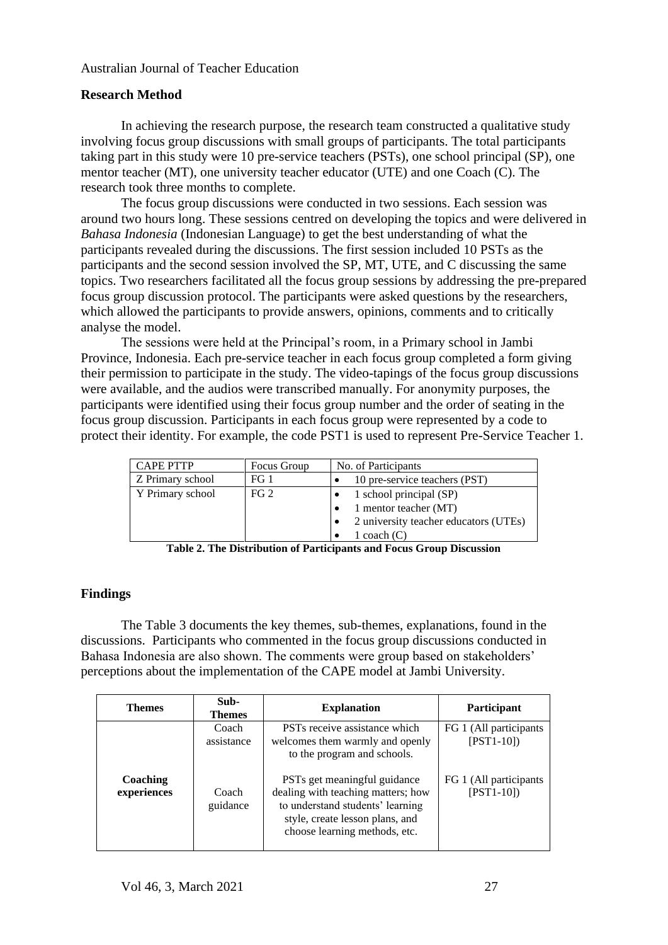## **Research Method**

In achieving the research purpose, the research team constructed a qualitative study involving focus group discussions with small groups of participants. The total participants taking part in this study were 10 pre-service teachers (PSTs), one school principal (SP), one mentor teacher (MT), one university teacher educator (UTE) and one Coach (C). The research took three months to complete.

The focus group discussions were conducted in two sessions. Each session was around two hours long. These sessions centred on developing the topics and were delivered in *Bahasa Indonesia* (Indonesian Language) to get the best understanding of what the participants revealed during the discussions. The first session included 10 PSTs as the participants and the second session involved the SP, MT, UTE, and C discussing the same topics. Two researchers facilitated all the focus group sessions by addressing the pre-prepared focus group discussion protocol. The participants were asked questions by the researchers, which allowed the participants to provide answers, opinions, comments and to critically analyse the model.

The sessions were held at the Principal's room, in a Primary school in Jambi Province, Indonesia. Each pre-service teacher in each focus group completed a form giving their permission to participate in the study. The video-tapings of the focus group discussions were available, and the audios were transcribed manually. For anonymity purposes, the participants were identified using their focus group number and the order of seating in the focus group discussion. Participants in each focus group were represented by a code to protect their identity. For example, the code PST1 is used to represent Pre-Service Teacher 1.

| <b>CAPE PTTP</b> | Focus Group     | No. of Participants                   |
|------------------|-----------------|---------------------------------------|
| Z Primary school | FG 1            | 10 pre-service teachers (PST)         |
| Y Primary school | FG <sub>2</sub> | 1 school principal (SP)               |
|                  |                 | 1 mentor teacher (MT)                 |
|                  |                 | 2 university teacher educators (UTEs) |
|                  |                 | 1 coach $(C)$                         |

**Table 2. The Distribution of Participants and Focus Group Discussion**

## **Findings**

The Table 3 documents the key themes, sub-themes, explanations, found in the discussions. Participants who commented in the focus group discussions conducted in Bahasa Indonesia are also shown. The comments were group based on stakeholders' perceptions about the implementation of the CAPE model at Jambi University.

| <b>Themes</b>           | Sub-<br><b>Themes</b> | <b>Explanation</b>                                                                                                                                                         | Participant                            |
|-------------------------|-----------------------|----------------------------------------------------------------------------------------------------------------------------------------------------------------------------|----------------------------------------|
|                         | Coach<br>assistance   | PST <sub>s</sub> receive assistance which<br>welcomes them warmly and openly<br>to the program and schools.                                                                | FG 1 (All participants)<br>$[PST1-10]$ |
| Coaching<br>experiences | Coach<br>guidance     | PSTs get meaningful guidance<br>dealing with teaching matters; how<br>to understand students' learning<br>style, create lesson plans, and<br>choose learning methods, etc. | FG 1 (All participants)<br>$[PST1-10]$ |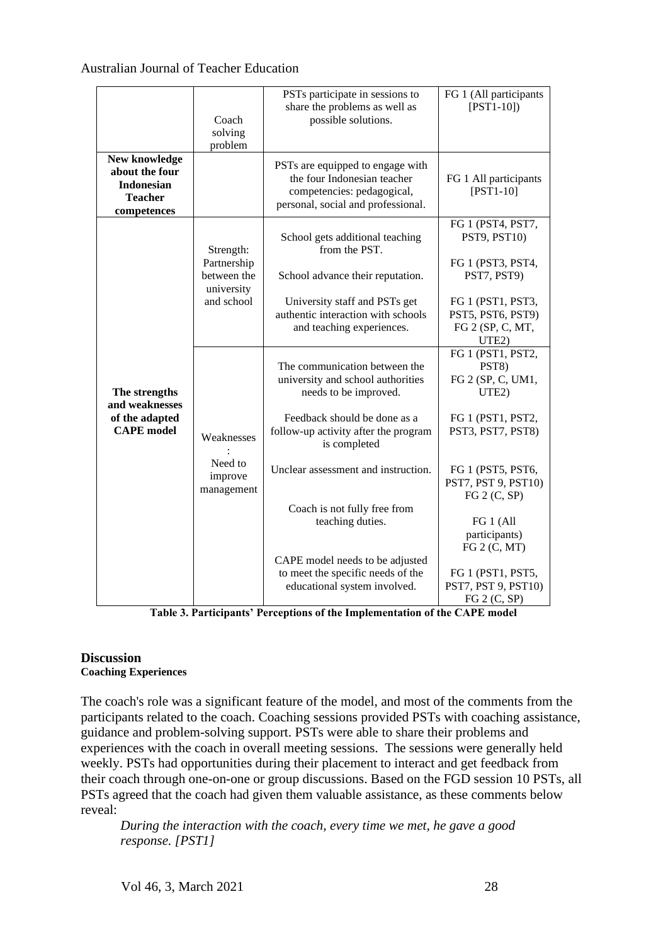|                                                                                       | Coach<br>solving<br>problem                                         | PSTs participate in sessions to<br>share the problems as well as<br>possible solutions.                                                                                                  | FG 1 (All participants<br>$[$ PST1-10])                                                                                                      |
|---------------------------------------------------------------------------------------|---------------------------------------------------------------------|------------------------------------------------------------------------------------------------------------------------------------------------------------------------------------------|----------------------------------------------------------------------------------------------------------------------------------------------|
| New knowledge<br>about the four<br><b>Indonesian</b><br><b>Teacher</b><br>competences |                                                                     | PSTs are equipped to engage with<br>the four Indonesian teacher<br>competencies: pedagogical,<br>personal, social and professional.                                                      | FG 1 All participants<br>$[$ PST1-10]                                                                                                        |
| The strengths<br>and weaknesses<br>of the adapted<br><b>CAPE</b> model                | Strength:<br>Partnership<br>between the<br>university<br>and school | School gets additional teaching<br>from the PST.<br>School advance their reputation.<br>University staff and PSTs get<br>authentic interaction with schools<br>and teaching experiences. | FG 1 (PST4, PST7,<br>PST9, PST10)<br>FG 1 (PST3, PST4,<br>PST7, PST9)<br>FG 1 (PST1, PST3,<br>PST5, PST6, PST9)<br>FG 2 (SP, C, MT,<br>UTE2) |
|                                                                                       | Weaknesses<br>Need to<br>improve<br>management                      | The communication between the<br>university and school authorities<br>needs to be improved.<br>Feedback should be done as a<br>follow-up activity after the program<br>is completed      | FG 1 (PST1, PST2,<br>PST8)<br>FG 2 (SP, C, UM1,<br>UTE2)<br>FG 1 (PST1, PST2,<br>PST3, PST7, PST8)                                           |
|                                                                                       |                                                                     | Unclear assessment and instruction.<br>Coach is not fully free from                                                                                                                      | FG 1 (PST5, PST6,<br>PST7, PST 9, PST10)<br>FG 2 (C, SP)                                                                                     |
|                                                                                       |                                                                     | teaching duties.<br>CAPE model needs to be adjusted<br>to meet the specific needs of the<br>educational system involved.                                                                 | FG 1 (All<br>participants)<br>FG 2 (C, MT)<br>FG 1 (PST1, PST5,<br>PST7, PST 9, PST10)<br>FG 2 (C, SP)                                       |

**Table 3. Participants' Perceptions of the Implementation of the CAPE model**

#### **Discussion Coaching Experiences**

The coach's role was a significant feature of the model, and most of the comments from the participants related to the coach. Coaching sessions provided PSTs with coaching assistance, guidance and problem-solving support. PSTs were able to share their problems and experiences with the coach in overall meeting sessions. The sessions were generally held weekly. PSTs had opportunities during their placement to interact and get feedback from their coach through one-on-one or group discussions. Based on the FGD session 10 PSTs, all PSTs agreed that the coach had given them valuable assistance, as these comments below reveal:

*During the interaction with the coach, every time we met, he gave a good response. [PST1]*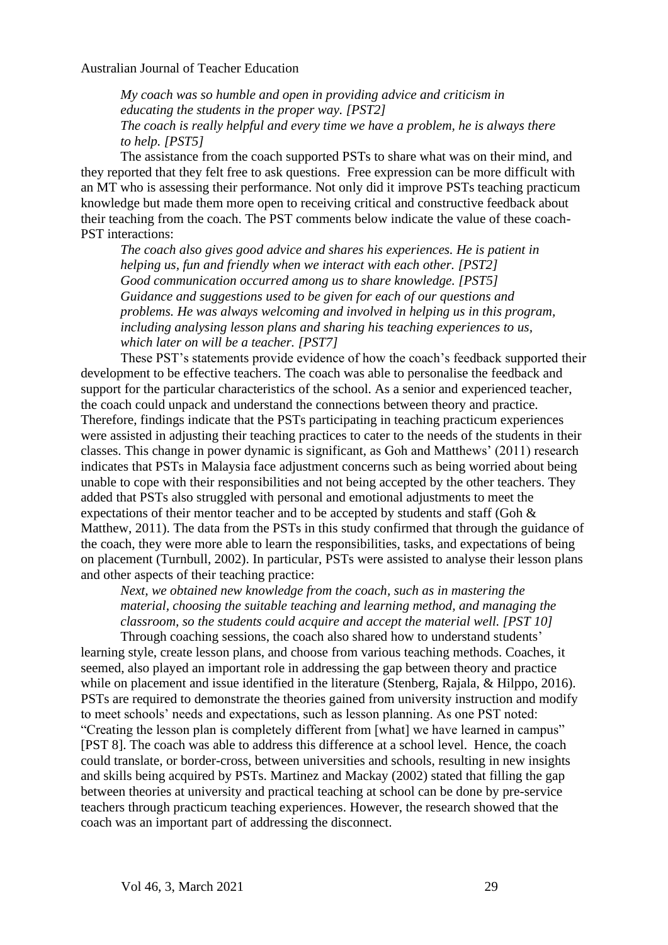*My coach was so humble and open in providing advice and criticism in educating the students in the proper way. [PST2] The coach is really helpful and every time we have a problem, he is always there to help. [PST5]*

The assistance from the coach supported PSTs to share what was on their mind, and they reported that they felt free to ask questions. Free expression can be more difficult with an MT who is assessing their performance. Not only did it improve PSTs teaching practicum knowledge but made them more open to receiving critical and constructive feedback about their teaching from the coach. The PST comments below indicate the value of these coach-PST interactions:

*The coach also gives good advice and shares his experiences. He is patient in helping us, fun and friendly when we interact with each other. [PST2] Good communication occurred among us to share knowledge. [PST5] Guidance and suggestions used to be given for each of our questions and problems. He was always welcoming and involved in helping us in this program, including analysing lesson plans and sharing his teaching experiences to us, which later on will be a teacher. [PST7]*

These PST's statements provide evidence of how the coach's feedback supported their development to be effective teachers. The coach was able to personalise the feedback and support for the particular characteristics of the school. As a senior and experienced teacher, the coach could unpack and understand the connections between theory and practice. Therefore, findings indicate that the PSTs participating in teaching practicum experiences were assisted in adjusting their teaching practices to cater to the needs of the students in their classes. This change in power dynamic is significant, as Goh and Matthews' (2011) research indicates that PSTs in Malaysia face adjustment concerns such as being worried about being unable to cope with their responsibilities and not being accepted by the other teachers. They added that PSTs also struggled with personal and emotional adjustments to meet the expectations of their mentor teacher and to be accepted by students and staff (Goh & Matthew, 2011). The data from the PSTs in this study confirmed that through the guidance of the coach, they were more able to learn the responsibilities, tasks, and expectations of being on placement (Turnbull, 2002). In particular, PSTs were assisted to analyse their lesson plans and other aspects of their teaching practice:

*Next, we obtained new knowledge from the coach, such as in mastering the material, choosing the suitable teaching and learning method, and managing the classroom, so the students could acquire and accept the material well. [PST 10]*

Through coaching sessions, the coach also shared how to understand students' learning style, create lesson plans, and choose from various teaching methods. Coaches, it seemed, also played an important role in addressing the gap between theory and practice while on placement and issue identified in the literature (Stenberg, Rajala, & Hilppo, 2016). PSTs are required to demonstrate the theories gained from university instruction and modify to meet schools' needs and expectations, such as lesson planning. As one PST noted: "Creating the lesson plan is completely different from [what] we have learned in campus" [PST 8]. The coach was able to address this difference at a school level. Hence, the coach could translate, or border-cross, between universities and schools, resulting in new insights and skills being acquired by PSTs. Martinez and Mackay (2002) stated that filling the gap between theories at university and practical teaching at school can be done by pre-service teachers through practicum teaching experiences. However, the research showed that the coach was an important part of addressing the disconnect.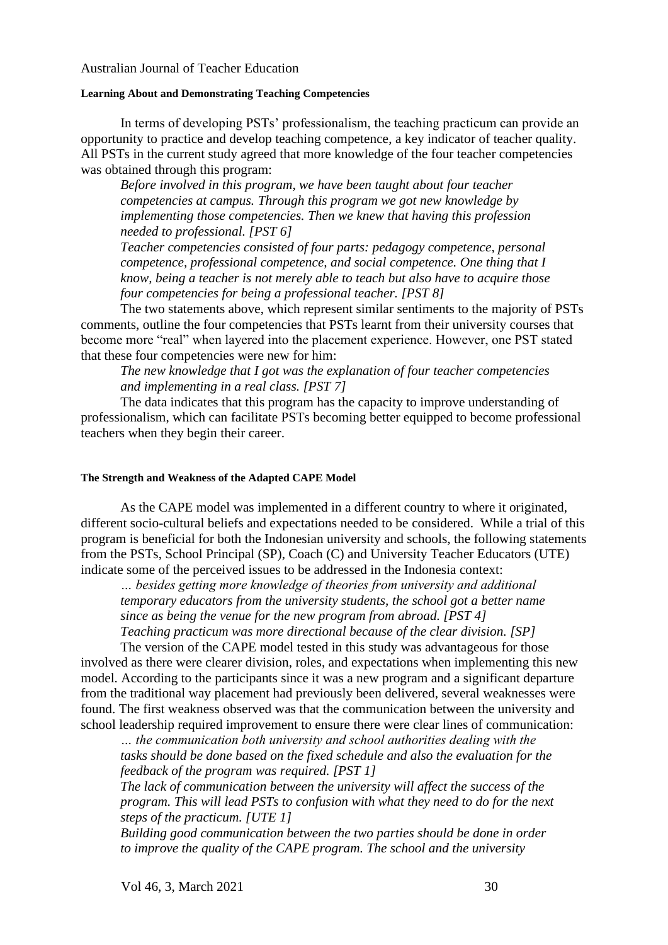#### **Learning About and Demonstrating Teaching Competencies**

In terms of developing PSTs' professionalism, the teaching practicum can provide an opportunity to practice and develop teaching competence, a key indicator of teacher quality. All PSTs in the current study agreed that more knowledge of the four teacher competencies was obtained through this program:

*Before involved in this program, we have been taught about four teacher competencies at campus. Through this program we got new knowledge by implementing those competencies. Then we knew that having this profession needed to professional. [PST 6]*

*Teacher competencies consisted of four parts: pedagogy competence, personal competence, professional competence, and social competence. One thing that I know, being a teacher is not merely able to teach but also have to acquire those four competencies for being a professional teacher. [PST 8]*

The two statements above, which represent similar sentiments to the majority of PSTs comments, outline the four competencies that PSTs learnt from their university courses that become more "real" when layered into the placement experience. However, one PST stated that these four competencies were new for him:

*The new knowledge that I got was the explanation of four teacher competencies and implementing in a real class. [PST 7]*

The data indicates that this program has the capacity to improve understanding of professionalism, which can facilitate PSTs becoming better equipped to become professional teachers when they begin their career.

#### **The Strength and Weakness of the Adapted CAPE Model**

As the CAPE model was implemented in a different country to where it originated, different socio-cultural beliefs and expectations needed to be considered. While a trial of this program is beneficial for both the Indonesian university and schools, the following statements from the PSTs, School Principal (SP), Coach (C) and University Teacher Educators (UTE) indicate some of the perceived issues to be addressed in the Indonesia context:

*… besides getting more knowledge of theories from university and additional temporary educators from the university students, the school got a better name since as being the venue for the new program from abroad. [PST 4]*

*Teaching practicum was more directional because of the clear division. [SP]*

The version of the CAPE model tested in this study was advantageous for those involved as there were clearer division, roles, and expectations when implementing this new model. According to the participants since it was a new program and a significant departure from the traditional way placement had previously been delivered, several weaknesses were found. The first weakness observed was that the communication between the university and school leadership required improvement to ensure there were clear lines of communication:

*… the communication both university and school authorities dealing with the tasks should be done based on the fixed schedule and also the evaluation for the feedback of the program was required. [PST 1]*

*The lack of communication between the university will affect the success of the program. This will lead PSTs to confusion with what they need to do for the next steps of the practicum. [UTE 1]*

*Building good communication between the two parties should be done in order to improve the quality of the CAPE program. The school and the university* 

Vol 46, 3, March 2021 30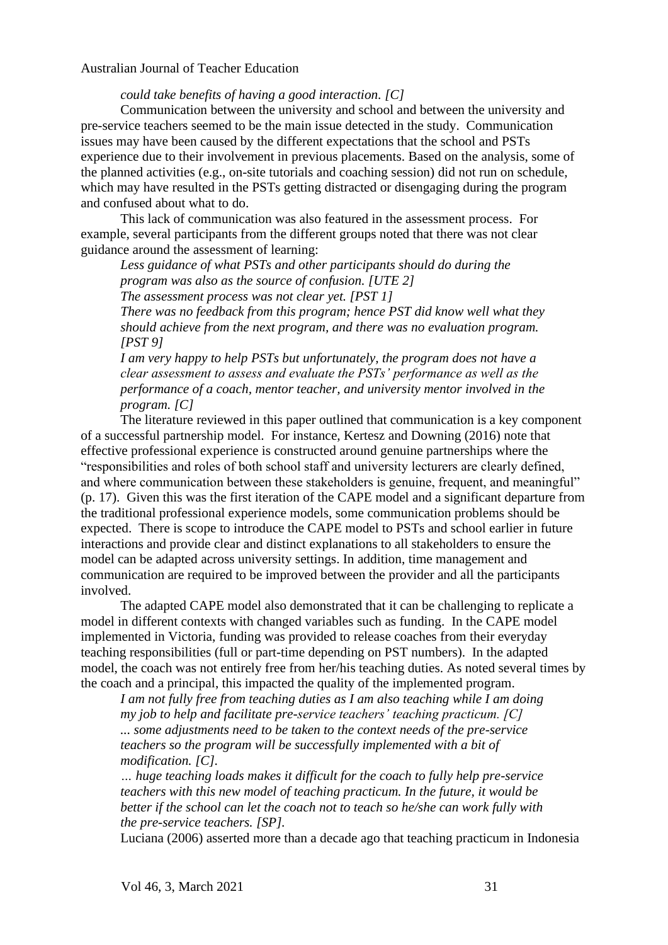*could take benefits of having a good interaction. [C]*

Communication between the university and school and between the university and pre-service teachers seemed to be the main issue detected in the study. Communication issues may have been caused by the different expectations that the school and PSTs experience due to their involvement in previous placements. Based on the analysis, some of the planned activities (e.g., on-site tutorials and coaching session) did not run on schedule, which may have resulted in the PSTs getting distracted or disengaging during the program and confused about what to do.

This lack of communication was also featured in the assessment process. For example, several participants from the different groups noted that there was not clear guidance around the assessment of learning:

*Less guidance of what PSTs and other participants should do during the program was also as the source of confusion. [UTE 2] The assessment process was not clear yet. [PST 1]*

*There was no feedback from this program; hence PST did know well what they should achieve from the next program, and there was no evaluation program. [PST 9]*

*I am very happy to help PSTs but unfortunately, the program does not have a clear assessment to assess and evaluate the PSTs' performance as well as the performance of a coach, mentor teacher, and university mentor involved in the program. [C]*

The literature reviewed in this paper outlined that communication is a key component of a successful partnership model. For instance, Kertesz and Downing (2016) note that effective professional experience is constructed around genuine partnerships where the "responsibilities and roles of both school staff and university lecturers are clearly defined, and where communication between these stakeholders is genuine, frequent, and meaningful" (p. 17). Given this was the first iteration of the CAPE model and a significant departure from the traditional professional experience models, some communication problems should be expected. There is scope to introduce the CAPE model to PSTs and school earlier in future interactions and provide clear and distinct explanations to all stakeholders to ensure the model can be adapted across university settings. In addition, time management and communication are required to be improved between the provider and all the participants involved.

The adapted CAPE model also demonstrated that it can be challenging to replicate a model in different contexts with changed variables such as funding. In the CAPE model implemented in Victoria, funding was provided to release coaches from their everyday teaching responsibilities (full or part-time depending on PST numbers). In the adapted model, the coach was not entirely free from her/his teaching duties. As noted several times by the coach and a principal, this impacted the quality of the implemented program.

*I am not fully free from teaching duties as I am also teaching while I am doing my job to help and facilitate pre-service teachers' teaching practicum. [C] ... some adjustments need to be taken to the context needs of the pre-service teachers so the program will be successfully implemented with a bit of modification. [C].*

*… huge teaching loads makes it difficult for the coach to fully help pre-service teachers with this new model of teaching practicum. In the future, it would be better if the school can let the coach not to teach so he/she can work fully with the pre-service teachers. [SP].*

Luciana (2006) asserted more than a decade ago that teaching practicum in Indonesia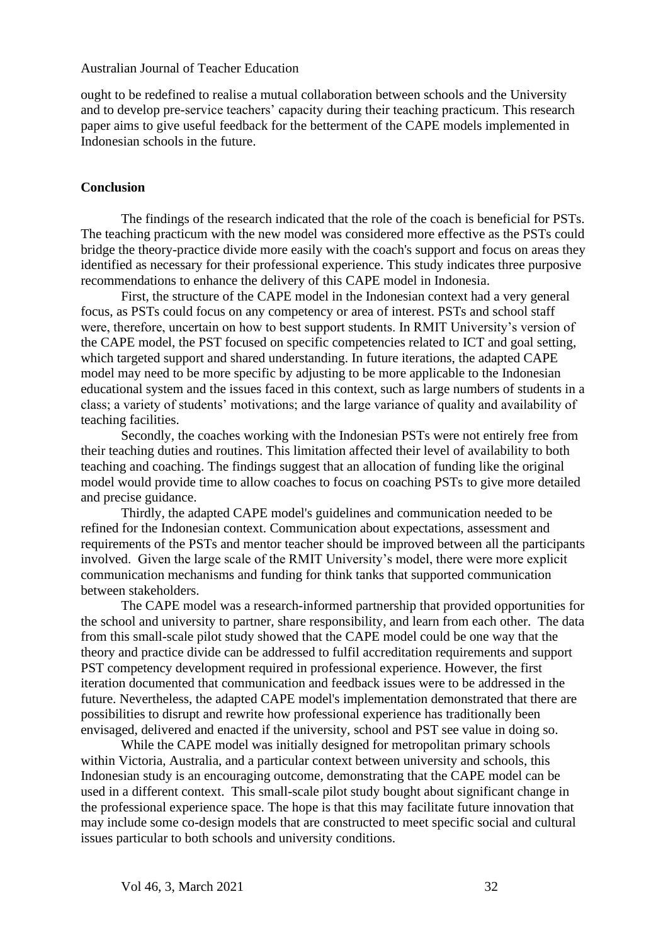ought to be redefined to realise a mutual collaboration between schools and the University and to develop pre-service teachers' capacity during their teaching practicum. This research paper aims to give useful feedback for the betterment of the CAPE models implemented in Indonesian schools in the future.

#### **Conclusion**

The findings of the research indicated that the role of the coach is beneficial for PSTs. The teaching practicum with the new model was considered more effective as the PSTs could bridge the theory-practice divide more easily with the coach's support and focus on areas they identified as necessary for their professional experience. This study indicates three purposive recommendations to enhance the delivery of this CAPE model in Indonesia.

First, the structure of the CAPE model in the Indonesian context had a very general focus, as PSTs could focus on any competency or area of interest. PSTs and school staff were, therefore, uncertain on how to best support students. In RMIT University's version of the CAPE model, the PST focused on specific competencies related to ICT and goal setting, which targeted support and shared understanding. In future iterations, the adapted CAPE model may need to be more specific by adjusting to be more applicable to the Indonesian educational system and the issues faced in this context, such as large numbers of students in a class; a variety of students' motivations; and the large variance of quality and availability of teaching facilities.

Secondly, the coaches working with the Indonesian PSTs were not entirely free from their teaching duties and routines. This limitation affected their level of availability to both teaching and coaching. The findings suggest that an allocation of funding like the original model would provide time to allow coaches to focus on coaching PSTs to give more detailed and precise guidance.

Thirdly, the adapted CAPE model's guidelines and communication needed to be refined for the Indonesian context. Communication about expectations, assessment and requirements of the PSTs and mentor teacher should be improved between all the participants involved. Given the large scale of the RMIT University's model, there were more explicit communication mechanisms and funding for think tanks that supported communication between stakeholders.

The CAPE model was a research-informed partnership that provided opportunities for the school and university to partner, share responsibility, and learn from each other. The data from this small-scale pilot study showed that the CAPE model could be one way that the theory and practice divide can be addressed to fulfil accreditation requirements and support PST competency development required in professional experience. However, the first iteration documented that communication and feedback issues were to be addressed in the future. Nevertheless, the adapted CAPE model's implementation demonstrated that there are possibilities to disrupt and rewrite how professional experience has traditionally been envisaged, delivered and enacted if the university, school and PST see value in doing so.

While the CAPE model was initially designed for metropolitan primary schools within Victoria, Australia, and a particular context between university and schools, this Indonesian study is an encouraging outcome, demonstrating that the CAPE model can be used in a different context. This small-scale pilot study bought about significant change in the professional experience space. The hope is that this may facilitate future innovation that may include some co-design models that are constructed to meet specific social and cultural issues particular to both schools and university conditions.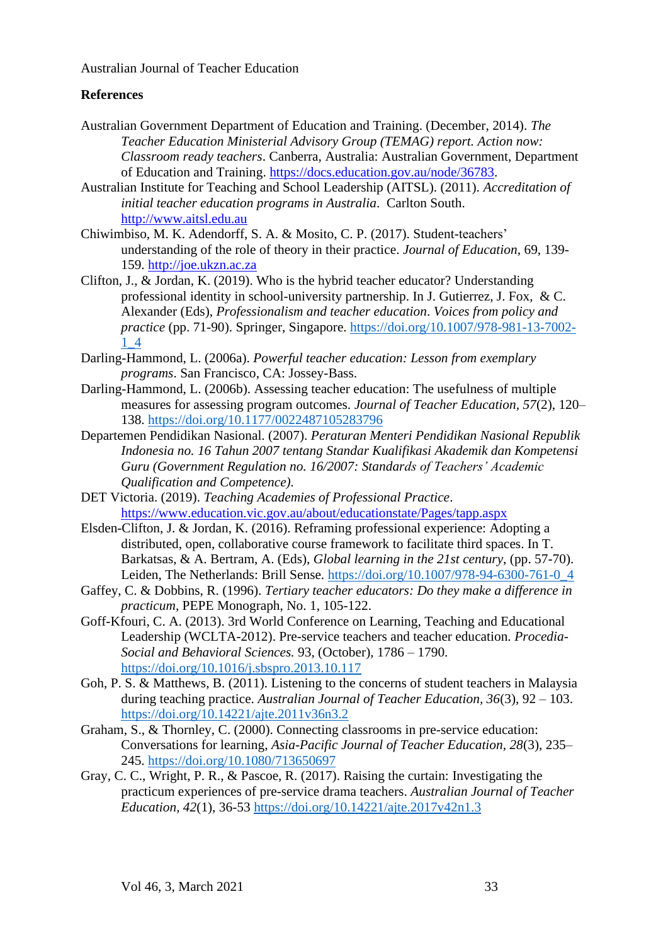## **References**

- Australian Government Department of Education and Training. (December, 2014). *The Teacher Education Ministerial Advisory Group (TEMAG) report. Action now: Classroom ready teachers*. Canberra, Australia: Australian Government, Department of Education and Training. [https://docs.education.gov.au/node/36783.](https://docs.education.gov.au/node/36783)
- Australian Institute for Teaching and School Leadership (AITSL). (2011). *Accreditation of initial teacher education programs in Australia*. Carlton South. [http://www.aitsl.edu.au](http://www.aitsl.edu.au/)
- Chiwimbiso, M. K. Adendorff, S. A. & Mosito, C. P. (2017). Student-teachers' understanding of the role of theory in their practice. *Journal of Education,* 69, 139- 159. [http://joe.ukzn.ac.za](http://joe.ukzn.ac.za/)
- Clifton, J., & Jordan, K. (2019). Who is the hybrid teacher educator? Understanding professional identity in school-university partnership. In J. Gutierrez, J. Fox, & C. Alexander (Eds), *Professionalism and teacher education*. *Voices from policy and practice* (pp. 71-90). Springer, Singapore. [https://doi.org/10.1007/978-981-13-7002-](https://doi.org/10.1007/978-981-13-7002-1_4) [1\\_4](https://doi.org/10.1007/978-981-13-7002-1_4)
- Darling-Hammond, L. (2006a). *Powerful teacher education: Lesson from exemplary programs*. San Francisco, CA: Jossey-Bass.
- Darling-Hammond, L. (2006b). Assessing teacher education: The usefulness of multiple measures for assessing program outcomes. *Journal of Teacher Education, 57*(2), 120– 138. <https://doi.org/10.1177/0022487105283796>
- Departemen Pendidikan Nasional. (2007). *Peraturan Menteri Pendidikan Nasional Republik Indonesia no. 16 Tahun 2007 tentang Standar Kualifikasi Akademik dan Kompetensi Guru (Government Regulation no. 16/2007: Standards of Teachers' Academic Qualification and Competence).*
- DET Victoria. (2019). *Teaching Academies of Professional Practice*. <https://www.education.vic.gov.au/about/educationstate/Pages/tapp.aspx>
- Elsden-Clifton, J. & Jordan, K. (2016). Reframing professional experience: Adopting a distributed, open, collaborative course framework to facilitate third spaces. In T. Barkatsas, & A. Bertram, A. (Eds), *Global learning in the 21st century*, (pp. 57-70). Leiden, The Netherlands: Brill Sense. [https://doi.org/10.1007/978-94-6300-761-0\\_4](https://doi.org/10.1007/978-94-6300-761-0_4)
- Gaffey, C. & Dobbins, R. (1996). *Tertiary teacher educators: Do they make a difference in practicum,* PEPE Monograph, No. 1, 105-122.
- Goff-Kfouri, C. A. (2013). 3rd World Conference on Learning, Teaching and Educational Leadership (WCLTA-2012). Pre-service teachers and teacher education. *Procedia-Social and Behavioral Sciences.* 93, (October), 1786 – 1790. <https://doi.org/10.1016/j.sbspro.2013.10.117>
- Goh, P. S. & Matthews, B. (2011). Listening to the concerns of student teachers in Malaysia during teaching practice. *Australian Journal of Teacher Education, 36*(3), 92 – 103. <https://doi.org/10.14221/ajte.2011v36n3.2>
- Graham, S., & Thornley, C. (2000). Connecting classrooms in pre-service education: Conversations for learning, *Asia-Pacific Journal of Teacher Education, 28*(3), 235– 245. <https://doi.org/10.1080/713650697>
- Gray, C. C., Wright, P. R., & Pascoe, R. (2017). Raising the curtain: Investigating the practicum experiences of pre-service drama teachers. *Australian Journal of Teacher Education, 42*(1), 36-53 <https://doi.org/10.14221/ajte.2017v42n1.3>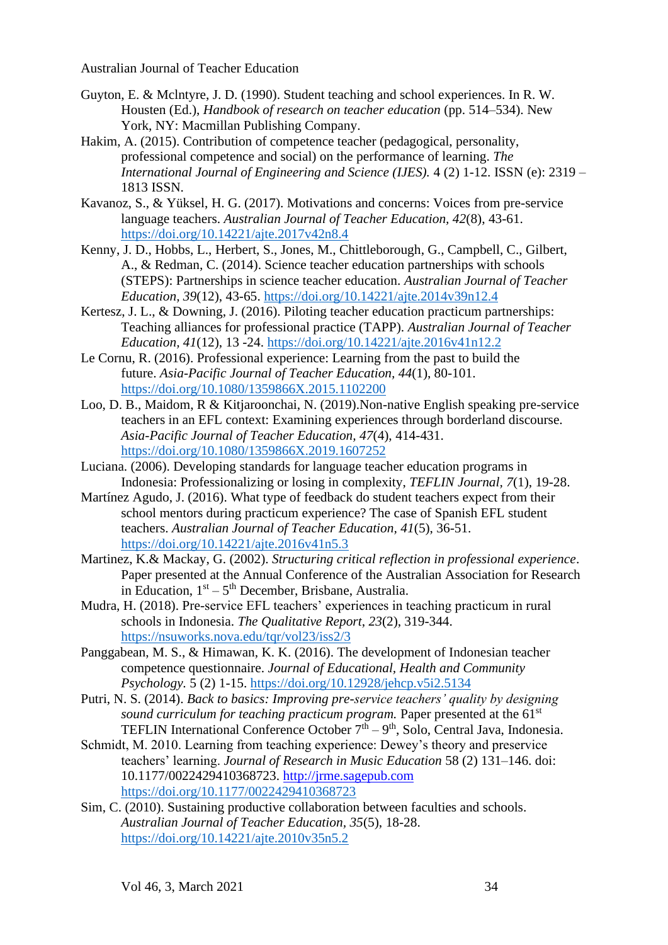- Guyton, E. & Mclntyre, J. D. (1990). Student teaching and school experiences. In R. W. Housten (Ed.), *Handbook of research on teacher education* (pp. 514–534). New York, NY: Macmillan Publishing Company.
- Hakim, A. (2015). Contribution of competence teacher (pedagogical, personality, professional competence and social) on the performance of learning. *The International Journal of Engineering and Science (IJES).* 4 (2) 1-12. ISSN (e): 2319 – 1813 ISSN.
- Kavanoz, S., & Yüksel, H. G. (2017). Motivations and concerns: Voices from pre-service language teachers. *Australian Journal of Teacher Education, 42*(8), 43-61. <https://doi.org/10.14221/ajte.2017v42n8.4>
- Kenny, J. D., Hobbs, L., Herbert, S., Jones, M., Chittleborough, G., Campbell, C., Gilbert, A., & Redman, C. (2014). Science teacher education partnerships with schools (STEPS): Partnerships in science teacher education. *Australian Journal of Teacher Education, 39*(12), 43-65. <https://doi.org/10.14221/ajte.2014v39n12.4>
- Kertesz, J. L., & Downing, J. (2016). Piloting teacher education practicum partnerships: Teaching alliances for professional practice (TAPP). *Australian Journal of Teacher Education, 41*(12), 13 -24. <https://doi.org/10.14221/ajte.2016v41n12.2>
- Le Cornu, R. (2016). Professional experience: Learning from the past to build the future. *Asia-Pacific Journal of Teacher Education, 44*(1), 80-101. <https://doi.org/10.1080/1359866X.2015.1102200>
- Loo, D. B., Maidom, R & Kitjaroonchai, N. (2019).Non-native English speaking pre-service teachers in an EFL context: Examining experiences through borderland discourse. *Asia-Pacific Journal of Teacher Education, 47*(4), 414-431. <https://doi.org/10.1080/1359866X.2019.1607252>
- Luciana. (2006). Developing standards for language teacher education programs in Indonesia: Professionalizing or losing in complexity, *TEFLIN Journal, 7*(1), 19-28.
- Martínez Agudo, J. (2016). What type of feedback do student teachers expect from their school mentors during practicum experience? The case of Spanish EFL student teachers. *Australian Journal of Teacher Education, 41*(5), 36-51. <https://doi.org/10.14221/ajte.2016v41n5.3>
- Martinez, K.& Mackay, G. (2002). *Structuring critical reflection in professional experience*. Paper presented at the Annual Conference of the Australian Association for Research in Education,  $1<sup>st</sup> - 5<sup>th</sup>$  December, Brisbane, Australia.
- Mudra, H. (2018). Pre-service EFL teachers' experiences in teaching practicum in rural schools in Indonesia. *The Qualitative Report*, *23*(2), 319-344. <https://nsuworks.nova.edu/tqr/vol23/iss2/3>
- Panggabean, M. S., & Himawan, K. K. (2016). The development of Indonesian teacher competence questionnaire. *Journal of Educational, Health and Community Psychology.* 5 (2) 1-15. <https://doi.org/10.12928/jehcp.v5i2.5134>
- Putri, N. S. (2014). *Back to basics: Improving pre-service teachers' quality by designing sound curriculum for teaching practicum program.* Paper presented at the 61<sup>st</sup> TEFLIN International Conference October  $7<sup>th</sup> - 9<sup>th</sup>$ , Solo, Central Java, Indonesia.
- Schmidt, M. 2010. Learning from teaching experience: Dewey's theory and preservice teachers' learning. *Journal of Research in Music Education* 58 (2) 131–146. doi: 10.1177/0022429410368723. [http://jrme.sagepub.com](http://jrme.sagepub.com/) <https://doi.org/10.1177/0022429410368723>
- Sim, C. (2010). Sustaining productive collaboration between faculties and schools. *Australian Journal of Teacher Education, 35*(5), 18-28. <https://doi.org/10.14221/ajte.2010v35n5.2>